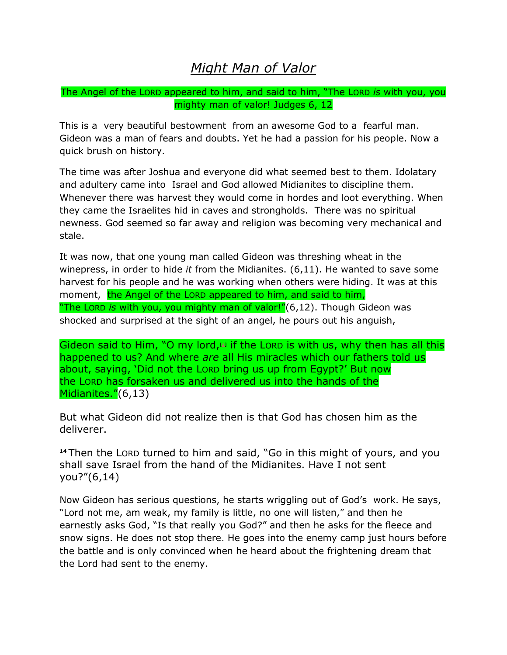## *Might Man of Valor*

The Angel of the LORD appeared to him, and said to him, "The LORD *is* with you, you mighty man of valor! Judges 6, 12

This is a very beautiful bestowment from an awesome God to a fearful man. Gideon was a man of fears and doubts. Yet he had a passion for his people. Now a quick brush on history.

The time was after Joshua and everyone did what seemed best to them. Idolatary and adultery came into Israel and God allowed Midianites to discipline them. Whenever there was harvest they would come in hordes and loot everything. When they came the Israelites hid in caves and strongholds. There was no spiritual newness. God seemed so far away and religion was becoming very mechanical and stale.

It was now, that one young man called Gideon was threshing wheat in the winepress, in order to hide *it* from the Midianites. (6,11). He wanted to save some harvest for his people and he was working when others were hiding. It was at this moment, the Angel of the LORD appeared to him, and said to him, "The LORD *is* with you, you mighty man of valor!"(6,12). Though Gideon was shocked and surprised at the sight of an angel, he pours out his anguish,

Gideon said to Him, "O my lord,<sup>1</sup> if the Lorp is with us, why then has all this happened to us? And where *are* all His miracles which our fathers told us about, saying, "Did not the LORD bring us up from Egypt?" But now the LORD has forsaken us and delivered us into the hands of the Midianites."(6,13)

But what Gideon did not realize then is that God has chosen him as the deliverer.

**<sup>14</sup>** Then the LORD turned to him and said, "Go in this might of yours, and you shall save Israel from the hand of the Midianites. Have I not sent you?"(6,14)

Now Gideon has serious questions, he starts wriggling out of God's work. He says, "Lord not me, am weak, my family is little, no one will listen," and then he earnestly asks God, "Is that really you God?" and then he asks for the fleece and snow signs. He does not stop there. He goes into the enemy camp just hours before the battle and is only convinced when he heard about the frightening dream that the Lord had sent to the enemy.